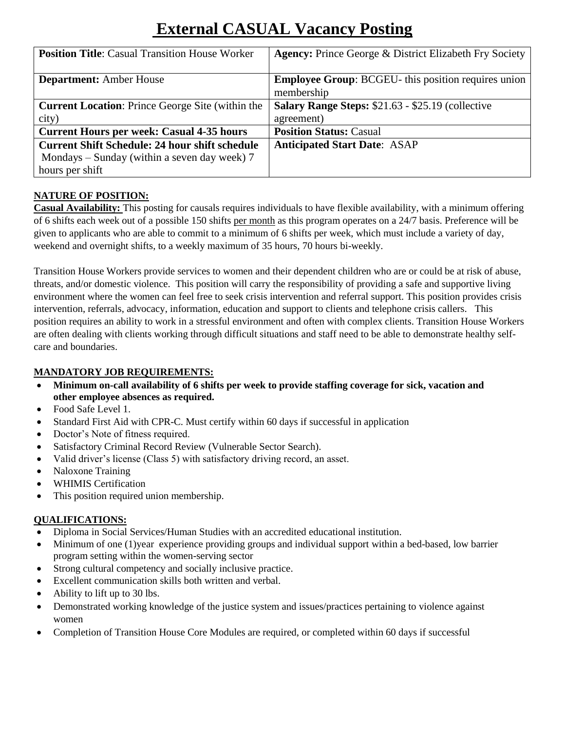# **External CASUAL Vacancy Posting**

| <b>Position Title:</b> Casual Transition House Worker   | <b>Agency:</b> Prince George & District Elizabeth Fry Society |
|---------------------------------------------------------|---------------------------------------------------------------|
|                                                         |                                                               |
| <b>Department:</b> Amber House                          | <b>Employee Group: BCGEU-</b> this position requires union    |
|                                                         | membership                                                    |
| <b>Current Location:</b> Prince George Site (within the | Salary Range Steps: \$21.63 - \$25.19 (collective             |
| city)                                                   | agreement)                                                    |
| <b>Current Hours per week: Casual 4-35 hours</b>        | <b>Position Status: Casual</b>                                |
| <b>Current Shift Schedule: 24 hour shift schedule</b>   | <b>Anticipated Start Date: ASAP</b>                           |
| Mondays – Sunday (within a seven day week) 7            |                                                               |
| hours per shift                                         |                                                               |

## **NATURE OF POSITION:**

**Casual Availability:** This posting for causals requires individuals to have flexible availability, with a minimum offering of 6 shifts each week out of a possible 150 shifts per month as this program operates on a 24/7 basis. Preference will be given to applicants who are able to commit to a minimum of 6 shifts per week, which must include a variety of day, weekend and overnight shifts, to a weekly maximum of 35 hours, 70 hours bi-weekly.

Transition House Workers provide services to women and their dependent children who are or could be at risk of abuse, threats, and/or domestic violence. This position will carry the responsibility of providing a safe and supportive living environment where the women can feel free to seek crisis intervention and referral support. This position provides crisis intervention, referrals, advocacy, information, education and support to clients and telephone crisis callers. This position requires an ability to work in a stressful environment and often with complex clients. Transition House Workers are often dealing with clients working through difficult situations and staff need to be able to demonstrate healthy selfcare and boundaries.

### **MANDATORY JOB REQUIREMENTS:**

- **Minimum on-call availability of 6 shifts per week to provide staffing coverage for sick, vacation and other employee absences as required.**
- Food Safe Level 1.
- Standard First Aid with CPR-C. Must certify within 60 days if successful in application
- Doctor's Note of fitness required.
- Satisfactory Criminal Record Review (Vulnerable Sector Search).
- Valid driver's license (Class 5) with satisfactory driving record, an asset.
- Naloxone Training
- WHIMIS Certification
- This position required union membership.

#### **QUALIFICATIONS:**

- Diploma in Social Services/Human Studies with an accredited educational institution.
- Minimum of one (1)year experience providing groups and individual support within a bed-based, low barrier program setting within the women-serving sector
- Strong cultural competency and socially inclusive practice.
- Excellent communication skills both written and verbal.
- Ability to lift up to 30 lbs.
- Demonstrated working knowledge of the justice system and issues/practices pertaining to violence against women
- Completion of Transition House Core Modules are required, or completed within 60 days if successful